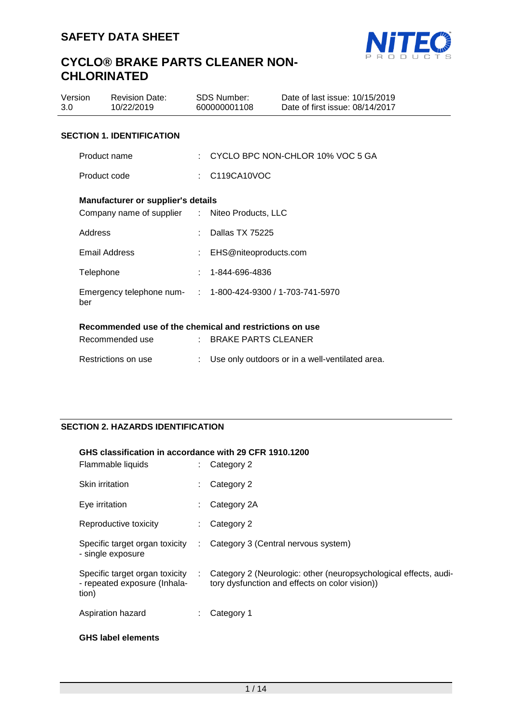

| Version<br>3.0                   |                                                                                             | <b>Revision Date:</b><br>10/22/2019 |  | SDS Number:<br>600000001108                     | Date of last issue: 10/15/2019<br>Date of first issue: 08/14/2017 |  |
|----------------------------------|---------------------------------------------------------------------------------------------|-------------------------------------|--|-------------------------------------------------|-------------------------------------------------------------------|--|
| <b>SECTION 1. IDENTIFICATION</b> |                                                                                             |                                     |  |                                                 |                                                                   |  |
|                                  | Product name                                                                                |                                     |  |                                                 | : CYCLO BPC NON-CHLOR 10% VOC 5 GA                                |  |
|                                  | Product code                                                                                |                                     |  | $\therefore$ C119CA10VOC                        |                                                                   |  |
|                                  | <b>Manufacturer or supplier's details</b><br>Company name of supplier : Niteo Products, LLC |                                     |  |                                                 |                                                                   |  |
|                                  | Address                                                                                     |                                     |  | Dallas TX 75225                                 |                                                                   |  |
|                                  |                                                                                             | Email Address                       |  | : EHS@niteoproducts.com                         |                                                                   |  |
|                                  | Telephone                                                                                   |                                     |  | 1-844-696-4836                                  |                                                                   |  |
|                                  | ber                                                                                         | Emergency telephone num-            |  | $: 1 - 800 - 424 - 9300 / 1 - 703 - 741 - 5970$ |                                                                   |  |
|                                  | Recommended use of the chemical and restrictions on use                                     |                                     |  |                                                 |                                                                   |  |
|                                  |                                                                                             | Recommended use                     |  | $:$ BRAKE PARTS CLEANER                         |                                                                   |  |
|                                  |                                                                                             | Restrictions on use                 |  |                                                 | Use only outdoors or in a well-ventilated area.                   |  |

# **SECTION 2. HAZARDS IDENTIFICATION**

#### **GHS classification in accordance with 29 CFR 1910.1200** Flammable liquids : Category 2

| Flammable liquids                                                       |                           | $\therefore$ Category 2                                                                                            |
|-------------------------------------------------------------------------|---------------------------|--------------------------------------------------------------------------------------------------------------------|
| Skin irritation                                                         |                           | Category 2                                                                                                         |
| Eye irritation                                                          |                           | Category 2A                                                                                                        |
| Reproductive toxicity                                                   |                           | Category 2                                                                                                         |
| Specific target organ toxicity<br>- single exposure                     | $\mathbb{Z}^{\mathbb{Z}}$ | Category 3 (Central nervous system)                                                                                |
| Specific target organ toxicity<br>- repeated exposure (Inhala-<br>tion) | ÷                         | Category 2 (Neurologic: other (neuropsychological effects, audi-<br>tory dysfunction and effects on color vision)) |
| Aspiration hazard                                                       |                           | Category 1                                                                                                         |
|                                                                         |                           |                                                                                                                    |

# **GHS label elements**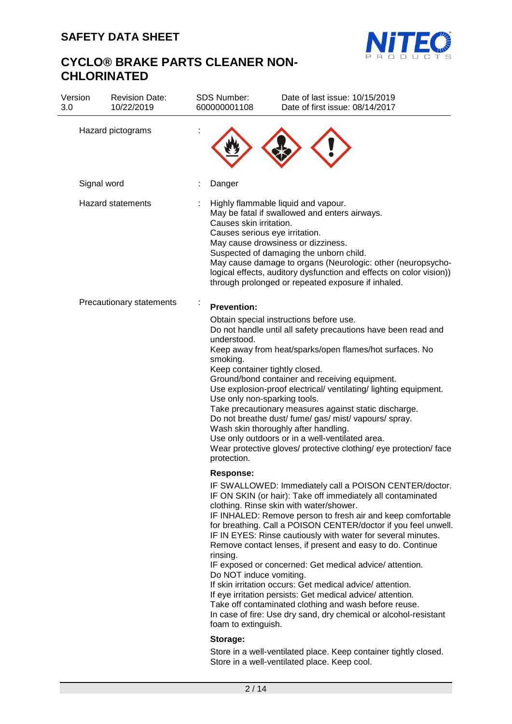

| Version<br>3.0 | <b>Revision Date:</b><br>10/22/2019 | <b>SDS Number:</b><br>600000001108                                                                       | Date of last issue: 10/15/2019<br>Date of first issue: 08/14/2017                                                                                                                                                                                                                                                                                                                                                                                                                                                                                                                                                                                                                                                                                |
|----------------|-------------------------------------|----------------------------------------------------------------------------------------------------------|--------------------------------------------------------------------------------------------------------------------------------------------------------------------------------------------------------------------------------------------------------------------------------------------------------------------------------------------------------------------------------------------------------------------------------------------------------------------------------------------------------------------------------------------------------------------------------------------------------------------------------------------------------------------------------------------------------------------------------------------------|
|                | Hazard pictograms                   |                                                                                                          |                                                                                                                                                                                                                                                                                                                                                                                                                                                                                                                                                                                                                                                                                                                                                  |
|                | Signal word                         | Danger                                                                                                   |                                                                                                                                                                                                                                                                                                                                                                                                                                                                                                                                                                                                                                                                                                                                                  |
|                | <b>Hazard statements</b>            | Causes skin irritation.<br>Causes serious eye irritation.                                                | Highly flammable liquid and vapour.<br>May be fatal if swallowed and enters airways.<br>May cause drowsiness or dizziness.<br>Suspected of damaging the unborn child.<br>May cause damage to organs (Neurologic: other (neuropsycho-<br>logical effects, auditory dysfunction and effects on color vision))<br>through prolonged or repeated exposure if inhaled.                                                                                                                                                                                                                                                                                                                                                                                |
|                | Precautionary statements            | <b>Prevention:</b>                                                                                       |                                                                                                                                                                                                                                                                                                                                                                                                                                                                                                                                                                                                                                                                                                                                                  |
|                |                                     | understood.<br>smoking.<br>Keep container tightly closed.<br>Use only non-sparking tools.<br>protection. | Obtain special instructions before use.<br>Do not handle until all safety precautions have been read and<br>Keep away from heat/sparks/open flames/hot surfaces. No<br>Ground/bond container and receiving equipment.<br>Use explosion-proof electrical/ ventilating/ lighting equipment.<br>Take precautionary measures against static discharge.<br>Do not breathe dust/ fume/ gas/ mist/ vapours/ spray.<br>Wash skin thoroughly after handling.<br>Use only outdoors or in a well-ventilated area.<br>Wear protective gloves/ protective clothing/ eye protection/ face                                                                                                                                                                      |
|                |                                     | <b>Response:</b><br>rinsing.<br>Do NOT induce vomiting.<br>foam to extinguish.<br>Storage:               | IF SWALLOWED: Immediately call a POISON CENTER/doctor.<br>IF ON SKIN (or hair): Take off immediately all contaminated<br>clothing. Rinse skin with water/shower.<br>IF INHALED: Remove person to fresh air and keep comfortable<br>for breathing. Call a POISON CENTER/doctor if you feel unwell.<br>IF IN EYES: Rinse cautiously with water for several minutes.<br>Remove contact lenses, if present and easy to do. Continue<br>IF exposed or concerned: Get medical advice/ attention.<br>If skin irritation occurs: Get medical advice/attention.<br>If eye irritation persists: Get medical advice/attention.<br>Take off contaminated clothing and wash before reuse.<br>In case of fire: Use dry sand, dry chemical or alcohol-resistant |
|                |                                     |                                                                                                          | Store in a well-ventilated place. Keep container tightly closed.<br>Store in a well-ventilated place. Keep cool.                                                                                                                                                                                                                                                                                                                                                                                                                                                                                                                                                                                                                                 |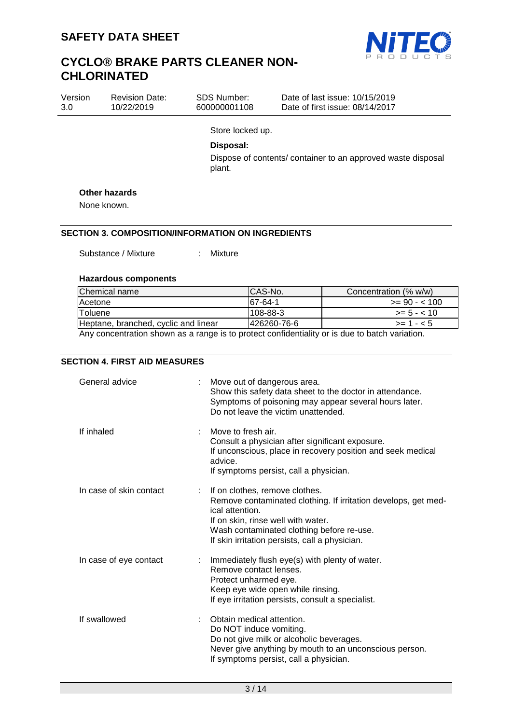

| Version<br>3.0 | <b>Revision Date:</b><br>10/22/2019 | <b>SDS Number:</b><br>600000001108 | Date of last issue: 10/15/2019<br>Date of first issue: 08/14/2017 |  |  |  |
|----------------|-------------------------------------|------------------------------------|-------------------------------------------------------------------|--|--|--|
|                |                                     | Store locked up.                   |                                                                   |  |  |  |
|                |                                     | Disposal:                          |                                                                   |  |  |  |
|                |                                     | plant.                             | Dispose of contents/ container to an approved waste disposal      |  |  |  |

#### **Other hazards**

None known.

## **SECTION 3. COMPOSITION/INFORMATION ON INGREDIENTS**

Substance / Mixture : Mixture

#### **Hazardous components**

| Chemical name                        | CAS-No.         | Concentration (% w/w) |
|--------------------------------------|-----------------|-----------------------|
| <b>Acetone</b>                       | 67-64-1         | $>= 90 - 100$         |
| Toluene                              | $1108 - 88 - 3$ | $>= 5 - < 10$         |
| Heptane, branched, cyclic and linear | 426260-76-6     | $> = 1 - 5$           |
|                                      |                 |                       |

Any concentration shown as a range is to protect confidentiality or is due to batch variation.

## **SECTION 4. FIRST AID MEASURES**

| General advice          | Move out of dangerous area.<br>Show this safety data sheet to the doctor in attendance.<br>Symptoms of poisoning may appear several hours later.<br>Do not leave the victim unattended.                                                                  |
|-------------------------|----------------------------------------------------------------------------------------------------------------------------------------------------------------------------------------------------------------------------------------------------------|
| If inhaled              | Move to fresh air.<br>Consult a physician after significant exposure.<br>If unconscious, place in recovery position and seek medical<br>advice.<br>If symptoms persist, call a physician.                                                                |
| In case of skin contact | If on clothes, remove clothes.<br>Remove contaminated clothing. If irritation develops, get med-<br>ical attention.<br>If on skin, rinse well with water.<br>Wash contaminated clothing before re-use.<br>If skin irritation persists, call a physician. |
| In case of eye contact  | Immediately flush eye(s) with plenty of water.<br>Remove contact lenses.<br>Protect unharmed eye.<br>Keep eye wide open while rinsing.<br>If eye irritation persists, consult a specialist.                                                              |
| If swallowed            | Obtain medical attention.<br>Do NOT induce vomiting.<br>Do not give milk or alcoholic beverages.<br>Never give anything by mouth to an unconscious person.<br>If symptoms persist, call a physician.                                                     |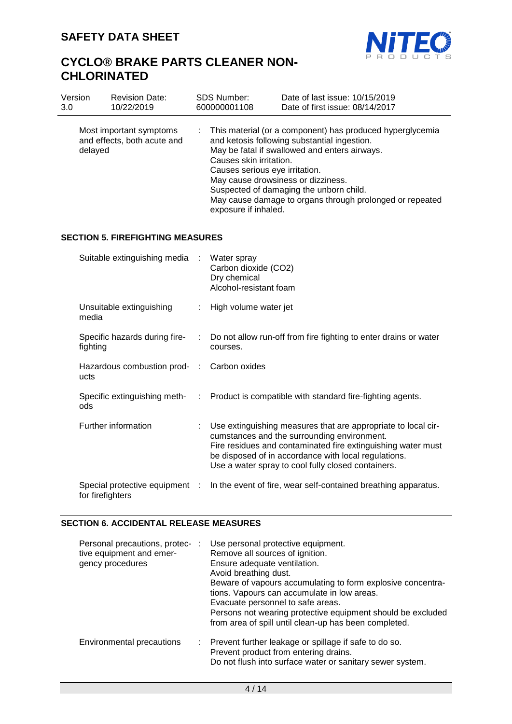

| Version | <b>Revision Date:</b>                                  | <b>SDS Number:</b>                                                                      | Date of last issue: 10/15/2019                                                                                                                                                                                                                                                                          |
|---------|--------------------------------------------------------|-----------------------------------------------------------------------------------------|---------------------------------------------------------------------------------------------------------------------------------------------------------------------------------------------------------------------------------------------------------------------------------------------------------|
| 3.0     | 10/22/2019                                             | 600000001108                                                                            | Date of first issue: 08/14/2017                                                                                                                                                                                                                                                                         |
| delayed | Most important symptoms<br>and effects, both acute and | ÷.<br>Causes skin irritation.<br>Causes serious eye irritation.<br>exposure if inhaled. | This material (or a component) has produced hyperglycemia<br>and ketosis following substantial ingestion.<br>May be fatal if swallowed and enters airways.<br>May cause drowsiness or dizziness.<br>Suspected of damaging the unborn child.<br>May cause damage to organs through prolonged or repeated |

### **SECTION 5. FIREFIGHTING MEASURES**

| Suitable extinguishing media :                     |    | Water spray<br>Carbon dioxide (CO2)<br>Dry chemical<br>Alcohol-resistant foam                                                                                                                                                                                                              |
|----------------------------------------------------|----|--------------------------------------------------------------------------------------------------------------------------------------------------------------------------------------------------------------------------------------------------------------------------------------------|
| Unsuitable extinguishing<br>media                  |    | : High volume water jet                                                                                                                                                                                                                                                                    |
| fighting                                           |    | Specific hazards during fire- : Do not allow run-off from fire fighting to enter drains or water<br>courses.                                                                                                                                                                               |
| Hazardous combustion prod- : Carbon oxides<br>ucts |    |                                                                                                                                                                                                                                                                                            |
| ods                                                |    | Specific extinguishing meth- : Product is compatible with standard fire-fighting agents.                                                                                                                                                                                                   |
| Further information                                | t. | Use extinguishing measures that are appropriate to local cir-<br>cumstances and the surrounding environment.<br>Fire residues and contaminated fire extinguishing water must<br>be disposed of in accordance with local regulations.<br>Use a water spray to cool fully closed containers. |
| Special protective equipment :<br>for firefighters |    | In the event of fire, wear self-contained breathing apparatus.                                                                                                                                                                                                                             |

# **SECTION 6. ACCIDENTAL RELEASE MEASURES**

| Personal precautions, protec-:<br>tive equipment and emer-<br>gency procedures | Use personal protective equipment.<br>Remove all sources of ignition.<br>Ensure adequate ventilation.<br>Avoid breathing dust.<br>Beware of vapours accumulating to form explosive concentra-<br>tions. Vapours can accumulate in low areas.<br>Evacuate personnel to safe areas.<br>Persons not wearing protective equipment should be excluded<br>from area of spill until clean-up has been completed. |
|--------------------------------------------------------------------------------|-----------------------------------------------------------------------------------------------------------------------------------------------------------------------------------------------------------------------------------------------------------------------------------------------------------------------------------------------------------------------------------------------------------|
| Environmental precautions                                                      | Prevent further leakage or spillage if safe to do so.<br>÷.<br>Prevent product from entering drains.<br>Do not flush into surface water or sanitary sewer system.                                                                                                                                                                                                                                         |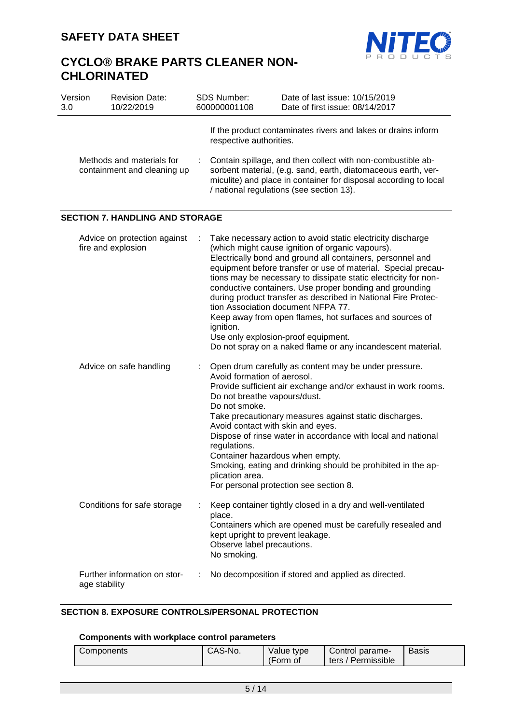

| Version<br>3.0 | <b>Revision Date:</b><br>10/22/2019                      |   | SDS Number:<br>600000001108                                                                                                                                                             | Date of last issue: 10/15/2019<br>Date of first issue: 08/14/2017                                                                                                                                                                                                                                                                                                                                                                                                                                                                                                                                                                                    |
|----------------|----------------------------------------------------------|---|-----------------------------------------------------------------------------------------------------------------------------------------------------------------------------------------|------------------------------------------------------------------------------------------------------------------------------------------------------------------------------------------------------------------------------------------------------------------------------------------------------------------------------------------------------------------------------------------------------------------------------------------------------------------------------------------------------------------------------------------------------------------------------------------------------------------------------------------------------|
|                | Methods and materials for<br>containment and cleaning up |   | respective authorities.                                                                                                                                                                 | If the product contaminates rivers and lakes or drains inform<br>Contain spillage, and then collect with non-combustible ab-<br>sorbent material, (e.g. sand, earth, diatomaceous earth, ver-<br>miculite) and place in container for disposal according to local<br>/ national regulations (see section 13).                                                                                                                                                                                                                                                                                                                                        |
|                | <b>SECTION 7. HANDLING AND STORAGE</b>                   |   |                                                                                                                                                                                         |                                                                                                                                                                                                                                                                                                                                                                                                                                                                                                                                                                                                                                                      |
|                | Advice on protection against<br>fire and explosion       |   | ignition.                                                                                                                                                                               | Take necessary action to avoid static electricity discharge<br>(which might cause ignition of organic vapours).<br>Electrically bond and ground all containers, personnel and<br>equipment before transfer or use of material. Special precau-<br>tions may be necessary to dissipate static electricity for non-<br>conductive containers. Use proper bonding and grounding<br>during product transfer as described in National Fire Protec-<br>tion Association document NFPA 77.<br>Keep away from open flames, hot surfaces and sources of<br>Use only explosion-proof equipment.<br>Do not spray on a naked flame or any incandescent material. |
|                | Advice on safe handling                                  |   | Avoid formation of aerosol.<br>Do not breathe vapours/dust.<br>Do not smoke.<br>Avoid contact with skin and eyes.<br>regulations.<br>Container hazardous when empty.<br>plication area. | Open drum carefully as content may be under pressure.<br>Provide sufficient air exchange and/or exhaust in work rooms.<br>Take precautionary measures against static discharges.<br>Dispose of rinse water in accordance with local and national<br>Smoking, eating and drinking should be prohibited in the ap-<br>For personal protection see section 8.                                                                                                                                                                                                                                                                                           |
|                | Conditions for safe storage                              |   | place.<br>kept upright to prevent leakage.<br>Observe label precautions.<br>No smoking.                                                                                                 | Keep container tightly closed in a dry and well-ventilated<br>Containers which are opened must be carefully resealed and                                                                                                                                                                                                                                                                                                                                                                                                                                                                                                                             |
|                | Further information on stor-<br>age stability            | ÷ |                                                                                                                                                                                         | No decomposition if stored and applied as directed.                                                                                                                                                                                                                                                                                                                                                                                                                                                                                                                                                                                                  |

# **SECTION 8. EXPOSURE CONTROLS/PERSONAL PROTECTION**

## **Components with workplace control parameters**

| ' Permissible<br>ters<br>Form<br>O1 | <b>Basis</b> |
|-------------------------------------|--------------|
|-------------------------------------|--------------|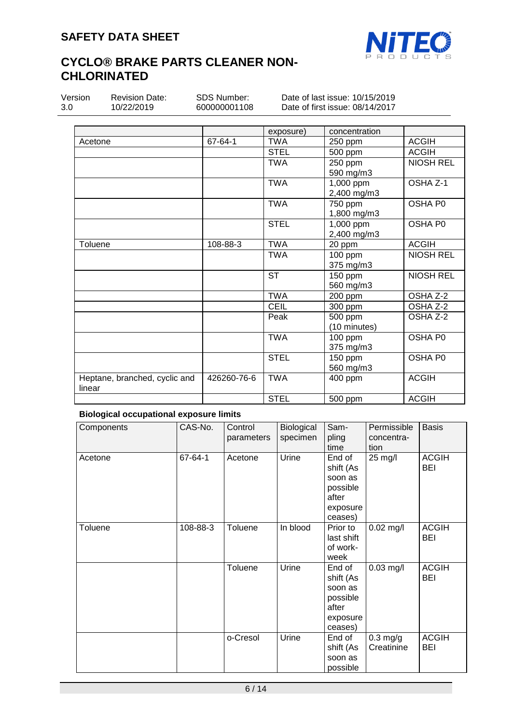

| Version<br>3.0 |  |
|----------------|--|
|                |  |

Revision Date: 10/22/2019

Date of last issue: 10/15/2019 Date of first issue: 08/14/2017

|                               |             | exposure)   | concentration |                  |
|-------------------------------|-------------|-------------|---------------|------------------|
| Acetone                       | 67-64-1     | <b>TWA</b>  | 250 ppm       | <b>ACGIH</b>     |
|                               |             | <b>STEL</b> | 500 ppm       | <b>ACGIH</b>     |
|                               |             | <b>TWA</b>  | 250 ppm       | <b>NIOSH REL</b> |
|                               |             |             | 590 mg/m3     |                  |
|                               |             | <b>TWA</b>  | 1,000 ppm     | OSHA Z-1         |
|                               |             |             | 2,400 mg/m3   |                  |
|                               |             | <b>TWA</b>  | 750 ppm       | OSHA P0          |
|                               |             |             | 1,800 mg/m3   |                  |
|                               |             | <b>STEL</b> | 1,000 ppm     | OSHA P0          |
|                               |             |             | 2,400 mg/m3   |                  |
| Toluene                       | 108-88-3    | <b>TWA</b>  | 20 ppm        | <b>ACGIH</b>     |
|                               |             | <b>TWA</b>  | 100 ppm       | <b>NIOSH REL</b> |
|                               |             |             | 375 mg/m3     |                  |
|                               |             | <b>ST</b>   | 150 ppm       | <b>NIOSH REL</b> |
|                               |             |             | 560 mg/m3     |                  |
|                               |             | <b>TWA</b>  | 200 ppm       | OSHA Z-2         |
|                               |             | CEIL        | 300 ppm       | OSHA Z-2         |
|                               |             | Peak        | 500 ppm       | OSHA Z-2         |
|                               |             |             | (10 minutes)  |                  |
|                               |             | <b>TWA</b>  | 100 ppm       | OSHA P0          |
|                               |             |             | 375 mg/m3     |                  |
|                               |             | <b>STEL</b> | 150 ppm       | OSHA P0          |
|                               |             |             | 560 mg/m3     |                  |
| Heptane, branched, cyclic and | 426260-76-6 | <b>TWA</b>  | 400 ppm       | <b>ACGIH</b>     |
| linear                        |             |             |               |                  |
|                               |             | <b>STEL</b> | 500 ppm       | <b>ACGIH</b>     |

# **Biological occupational exposure limits**

| Components | CAS-No.  | Control<br>parameters | Biological<br>specimen | Sam-<br>pling<br>time                                                      | Permissible<br>concentra-<br>tion | <b>Basis</b>               |
|------------|----------|-----------------------|------------------------|----------------------------------------------------------------------------|-----------------------------------|----------------------------|
| Acetone    | 67-64-1  | Acetone               | Urine                  | End of<br>shift (As<br>soon as<br>possible<br>after<br>exposure<br>ceases) | 25 mg/l                           | <b>ACGIH</b><br><b>BEI</b> |
| Toluene    | 108-88-3 | Toluene               | In blood               | Prior to<br>last shift<br>of work-<br>week                                 | $0.02$ mg/l                       | <b>ACGIH</b><br>BEI        |
|            |          | Toluene               | Urine                  | End of<br>shift (As<br>soon as<br>possible<br>after<br>exposure<br>ceases) | $0.03$ mg/l                       | <b>ACGIH</b><br><b>BEI</b> |
|            |          | o-Cresol              | Urine                  | End of<br>shift (As<br>soon as<br>possible                                 | $0.3$ mg/g<br>Creatinine          | <b>ACGIH</b><br>BEI        |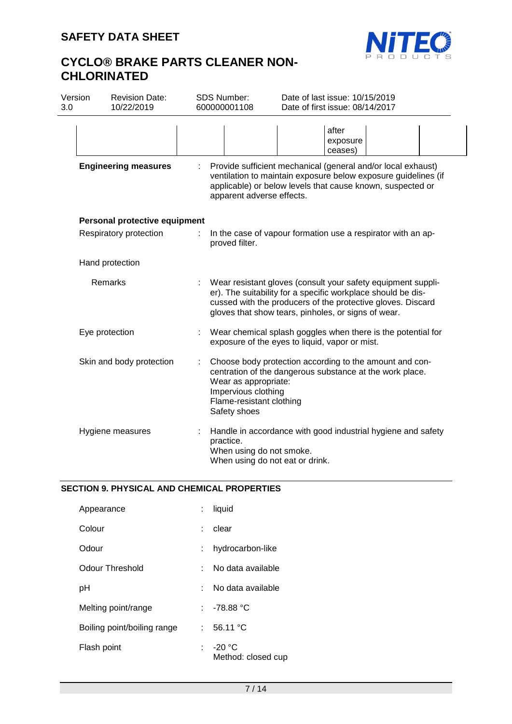

| Version<br>3.0 | <b>Revision Date:</b><br>10/22/2019 |   | SDS Number:<br>600000001108                                                             | Date of last issue: 10/15/2019<br>Date of first issue: 08/14/2017                                                                                                                                                                                  |  |
|----------------|-------------------------------------|---|-----------------------------------------------------------------------------------------|----------------------------------------------------------------------------------------------------------------------------------------------------------------------------------------------------------------------------------------------------|--|
|                |                                     |   |                                                                                         | after<br>exposure<br>ceases)                                                                                                                                                                                                                       |  |
|                | <b>Engineering measures</b>         |   | apparent adverse effects.                                                               | Provide sufficient mechanical (general and/or local exhaust)<br>ventilation to maintain exposure below exposure guidelines (if<br>applicable) or below levels that cause known, suspected or                                                       |  |
|                | Personal protective equipment       |   |                                                                                         |                                                                                                                                                                                                                                                    |  |
|                | Respiratory protection              | ÷ | proved filter.                                                                          | In the case of vapour formation use a respirator with an ap-                                                                                                                                                                                       |  |
|                | Hand protection                     |   |                                                                                         |                                                                                                                                                                                                                                                    |  |
|                | Remarks                             |   |                                                                                         | Wear resistant gloves (consult your safety equipment suppli-<br>er). The suitability for a specific workplace should be dis-<br>cussed with the producers of the protective gloves. Discard<br>gloves that show tears, pinholes, or signs of wear. |  |
|                | Eye protection                      |   |                                                                                         | Wear chemical splash goggles when there is the potential for<br>exposure of the eyes to liquid, vapor or mist.                                                                                                                                     |  |
|                | Skin and body protection            |   | Wear as appropriate:<br>Impervious clothing<br>Flame-resistant clothing<br>Safety shoes | Choose body protection according to the amount and con-<br>centration of the dangerous substance at the work place.                                                                                                                                |  |
|                | Hygiene measures                    |   | practice.<br>When using do not smoke.                                                   | Handle in accordance with good industrial hygiene and safety<br>When using do not eat or drink.                                                                                                                                                    |  |

# **SECTION 9. PHYSICAL AND CHEMICAL PROPERTIES**

| Appearance                  |    | liquid                         |
|-----------------------------|----|--------------------------------|
| Colour                      | t. | clear                          |
| Odour                       | t. | hydrocarbon-like               |
| Odour Threshold             |    | No data available              |
| рH                          |    | No data available              |
| Melting point/range         |    | : 78.88 °C                     |
| Boiling point/boiling range | t. | 56.11 °C                       |
| Flash point                 | t. | $-20 °C$<br>Method: closed cup |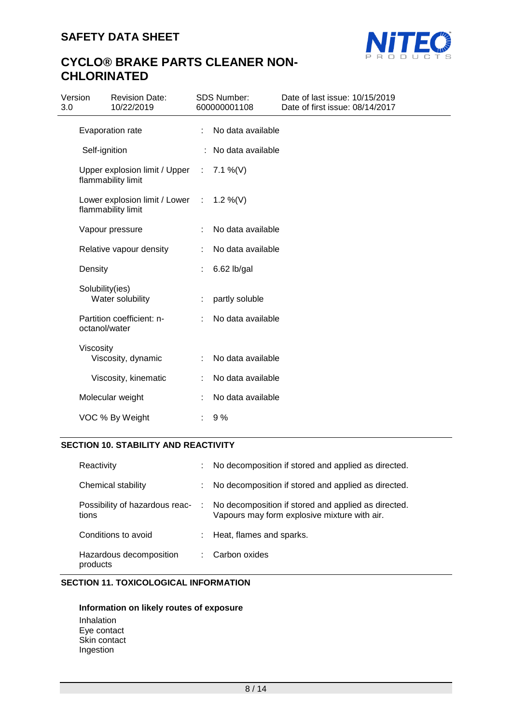

| Version<br>3.0                                        |                 | <b>Revision Date:</b><br>10/22/2019                   |   | <b>SDS Number:</b><br>600000001108 | Date of last issue: 10/15/2019<br>Date of first issue: 08/14/2017 |
|-------------------------------------------------------|-----------------|-------------------------------------------------------|---|------------------------------------|-------------------------------------------------------------------|
|                                                       |                 | Evaporation rate                                      | ÷ | No data available                  |                                                                   |
|                                                       | Self-ignition   |                                                       |   | No data available                  |                                                                   |
| Upper explosion limit / Upper :<br>flammability limit |                 |                                                       |   | 7.1 %(V)                           |                                                                   |
|                                                       |                 | Lower explosion limit / Lower :<br>flammability limit |   | 1.2 %(V)                           |                                                                   |
|                                                       |                 | Vapour pressure                                       |   | No data available                  |                                                                   |
|                                                       |                 | Relative vapour density                               | ÷ | No data available                  |                                                                   |
|                                                       | Density         |                                                       |   | $6.62$ lb/gal                      |                                                                   |
|                                                       | Solubility(ies) | Water solubility                                      |   | partly soluble                     |                                                                   |
|                                                       | octanol/water   | Partition coefficient: n-                             |   | No data available                  |                                                                   |
|                                                       | Viscosity       | Viscosity, dynamic                                    | ÷ | No data available                  |                                                                   |
|                                                       |                 | Viscosity, kinematic                                  |   | No data available                  |                                                                   |
|                                                       |                 | Molecular weight                                      |   | No data available                  |                                                                   |
|                                                       |                 | VOC % By Weight                                       |   | 9%                                 |                                                                   |

# **SECTION 10. STABILITY AND REACTIVITY**

| Reactivity                              |               | No decomposition if stored and applied as directed.                                                 |
|-----------------------------------------|---------------|-----------------------------------------------------------------------------------------------------|
| Chemical stability                      |               | No decomposition if stored and applied as directed.                                                 |
| Possibility of hazardous reac-<br>tions | $\mathcal{L}$ | No decomposition if stored and applied as directed.<br>Vapours may form explosive mixture with air. |
| Conditions to avoid                     |               | Heat, flames and sparks.                                                                            |
| Hazardous decomposition<br>products     |               | Carbon oxides                                                                                       |

# **SECTION 11. TOXICOLOGICAL INFORMATION**

## **Information on likely routes of exposure** Inhalation Eye contact Skin contact Ingestion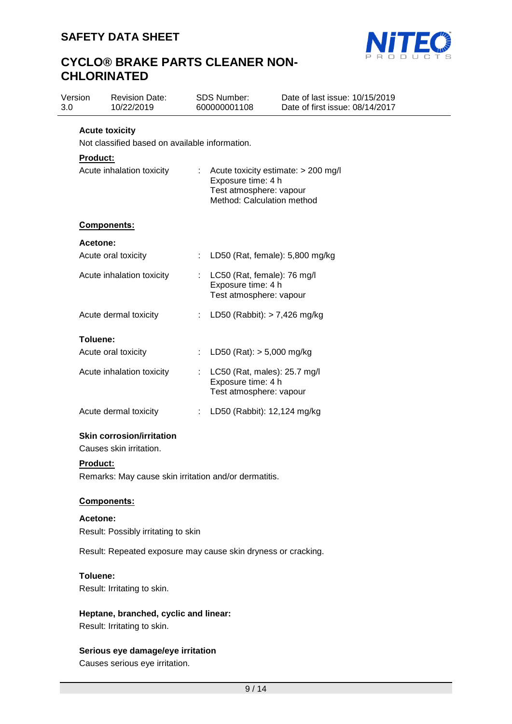

| Version<br>3.0 |                                                | <b>Revision Date:</b><br>10/22/2019                                  |                       | <b>SDS Number:</b><br>600000001108                                                                                 | Date of last issue: 10/15/2019<br>Date of first issue: 08/14/2017 |  |
|----------------|------------------------------------------------|----------------------------------------------------------------------|-----------------------|--------------------------------------------------------------------------------------------------------------------|-------------------------------------------------------------------|--|
|                |                                                | <b>Acute toxicity</b>                                                |                       |                                                                                                                    |                                                                   |  |
|                | Not classified based on available information. |                                                                      |                       |                                                                                                                    |                                                                   |  |
|                | <b>Product:</b>                                |                                                                      |                       |                                                                                                                    |                                                                   |  |
|                |                                                | Acute inhalation toxicity                                            | t.                    | Acute toxicity estimate: > 200 mg/l<br>Exposure time: 4 h<br>Test atmosphere: vapour<br>Method: Calculation method |                                                                   |  |
|                |                                                | Components:                                                          |                       |                                                                                                                    |                                                                   |  |
|                | <b>Acetone:</b>                                |                                                                      |                       |                                                                                                                    |                                                                   |  |
|                |                                                | Acute oral toxicity                                                  |                       | LD50 (Rat, female): 5,800 mg/kg                                                                                    |                                                                   |  |
|                |                                                | Acute inhalation toxicity                                            | ÷.                    | LC50 (Rat, female): 76 mg/l<br>Exposure time: 4 h<br>Test atmosphere: vapour                                       |                                                                   |  |
|                |                                                | Acute dermal toxicity                                                |                       | LD50 (Rabbit): $> 7,426$ mg/kg                                                                                     |                                                                   |  |
|                | Toluene:                                       |                                                                      |                       |                                                                                                                    |                                                                   |  |
|                |                                                | Acute oral toxicity                                                  | $\mathbb{Z}^{\times}$ | LD50 (Rat): $> 5,000$ mg/kg                                                                                        |                                                                   |  |
|                |                                                | Acute inhalation toxicity                                            |                       | LC50 (Rat, males): 25.7 mg/l<br>Exposure time: 4 h<br>Test atmosphere: vapour                                      |                                                                   |  |
|                |                                                | Acute dermal toxicity                                                | ÷                     | LD50 (Rabbit): 12,124 mg/kg                                                                                        |                                                                   |  |
|                |                                                | <b>Skin corrosion/irritation</b><br>Causes skin irritation.          |                       |                                                                                                                    |                                                                   |  |
|                | <b>Product:</b>                                |                                                                      |                       |                                                                                                                    |                                                                   |  |
|                |                                                | Remarks: May cause skin irritation and/or dermatitis.                |                       |                                                                                                                    |                                                                   |  |
|                |                                                | Components:                                                          |                       |                                                                                                                    |                                                                   |  |
|                | Acetone:                                       | Result: Possibly irritating to skin                                  |                       |                                                                                                                    |                                                                   |  |
|                |                                                | Result: Repeated exposure may cause skin dryness or cracking.        |                       |                                                                                                                    |                                                                   |  |
|                | Toluene:                                       | Result: Irritating to skin.                                          |                       |                                                                                                                    |                                                                   |  |
|                |                                                | Heptane, branched, cyclic and linear:<br>Result: Irritating to skin. |                       |                                                                                                                    |                                                                   |  |
|                |                                                | Serious eye damage/eye irritation                                    |                       |                                                                                                                    |                                                                   |  |

Causes serious eye irritation.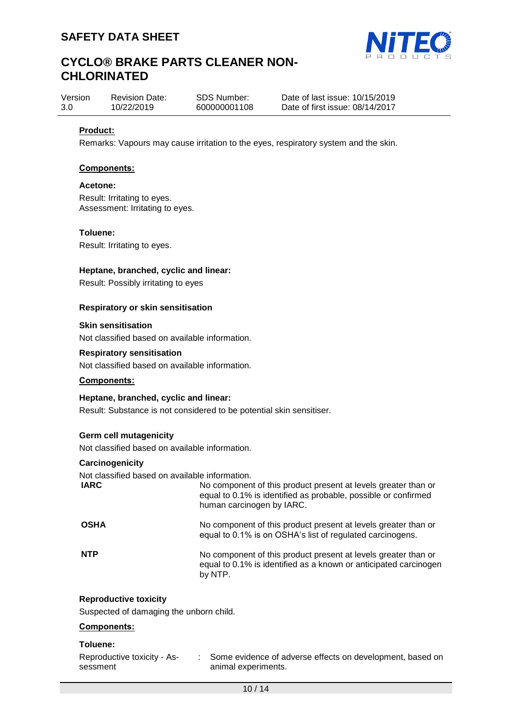

| Version | <b>Revision Date:</b> | SDS Number:  |
|---------|-----------------------|--------------|
| 3.0     | 10/22/2019            | 600000001108 |

Date of last issue: 10/15/2019 Date of first issue: 08/14/2017

## **Product:**

Remarks: Vapours may cause irritation to the eyes, respiratory system and the skin.

#### **Components:**

#### **Acetone:**

Result: Irritating to eyes. Assessment: Irritating to eyes.

#### **Toluene:**

Result: Irritating to eyes.

## **Heptane, branched, cyclic and linear:**

Result: Possibly irritating to eyes

#### **Respiratory or skin sensitisation**

#### **Skin sensitisation**

Not classified based on available information.

### **Respiratory sensitisation**

Not classified based on available information.

## **Components:**

#### **Heptane, branched, cyclic and linear:**

Result: Substance is not considered to be potential skin sensitiser.

### **Germ cell mutagenicity**

Not classified based on available information.

#### **Carcinogenicity**

Not classified based on available information.

| <b>IARC</b> | No component of this product present at levels greater than or<br>equal to 0.1% is identified as probable, possible or confirmed<br>human carcinogen by IARC. |
|-------------|---------------------------------------------------------------------------------------------------------------------------------------------------------------|
| <b>OSHA</b> | No component of this product present at levels greater than or<br>equal to 0.1% is on OSHA's list of regulated carcinogens.                                   |
| <b>NTP</b>  | No component of this product present at levels greater than or<br>equal to 0.1% is identified as a known or anticipated carcinogen<br>by NTP.                 |

#### **Reproductive toxicity**

Suspected of damaging the unborn child.

#### **Components:**

#### **Toluene:**

Reproductive toxicity - Assessment : Some evidence of adverse effects on development, based on animal experiments.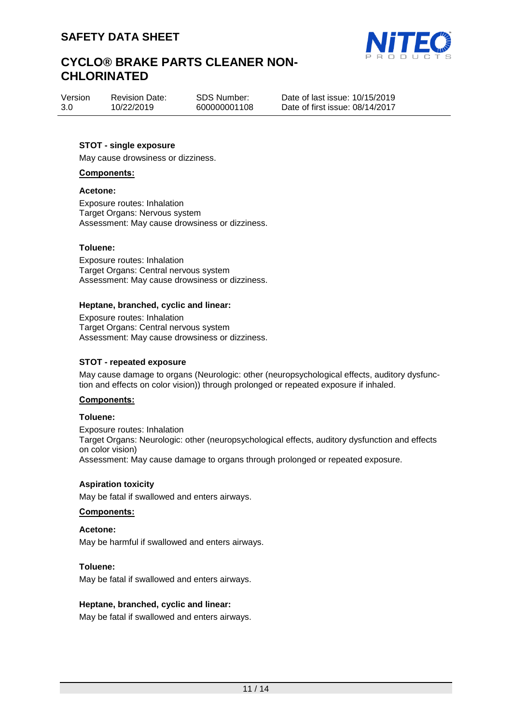

Version 3.0 Revision Date: 10/22/2019

SDS Number: 600000001108 Date of last issue: 10/15/2019 Date of first issue: 08/14/2017

## **STOT - single exposure**

May cause drowsiness or dizziness.

#### **Components:**

#### **Acetone:**

Exposure routes: Inhalation Target Organs: Nervous system Assessment: May cause drowsiness or dizziness.

#### **Toluene:**

Exposure routes: Inhalation Target Organs: Central nervous system Assessment: May cause drowsiness or dizziness.

#### **Heptane, branched, cyclic and linear:**

Exposure routes: Inhalation Target Organs: Central nervous system Assessment: May cause drowsiness or dizziness.

### **STOT - repeated exposure**

May cause damage to organs (Neurologic: other (neuropsychological effects, auditory dysfunction and effects on color vision)) through prolonged or repeated exposure if inhaled.

#### **Components:**

#### **Toluene:**

Exposure routes: Inhalation Target Organs: Neurologic: other (neuropsychological effects, auditory dysfunction and effects on color vision) Assessment: May cause damage to organs through prolonged or repeated exposure.

### **Aspiration toxicity**

May be fatal if swallowed and enters airways.

### **Components:**

### **Acetone:**

May be harmful if swallowed and enters airways.

#### **Toluene:**

May be fatal if swallowed and enters airways.

### **Heptane, branched, cyclic and linear:**

May be fatal if swallowed and enters airways.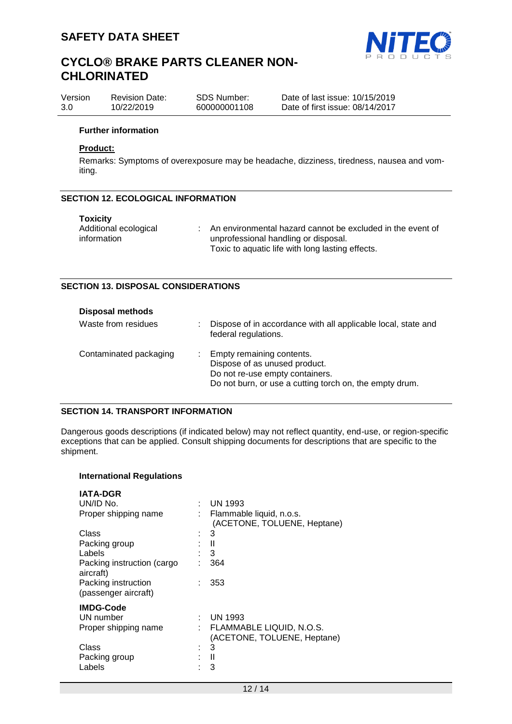

| Version | <b>Revision Date:</b> | SDS Number:  | Date of last issue: 10/15/2019  |
|---------|-----------------------|--------------|---------------------------------|
| 3.0     | 10/22/2019            | 600000001108 | Date of first issue: 08/14/2017 |

#### **Further information**

## **Product:**

Remarks: Symptoms of overexposure may be headache, dizziness, tiredness, nausea and vomiting.

#### **SECTION 12. ECOLOGICAL INFORMATION**

| <b>Toxicity</b>       |                                                            |
|-----------------------|------------------------------------------------------------|
| Additional ecological | An environmental hazard cannot be excluded in the event of |
| information           | unprofessional handling or disposal.                       |
|                       | Toxic to aquatic life with long lasting effects.           |

#### **SECTION 13. DISPOSAL CONSIDERATIONS**

| <b>Disposal methods</b> |                                                                                                                                                                |
|-------------------------|----------------------------------------------------------------------------------------------------------------------------------------------------------------|
| Waste from residues     | Dispose of in accordance with all applicable local, state and<br>federal regulations.                                                                          |
| Contaminated packaging  | Empty remaining contents.<br>÷.<br>Dispose of as unused product.<br>Do not re-use empty containers.<br>Do not burn, or use a cutting torch on, the empty drum. |

## **SECTION 14. TRANSPORT INFORMATION**

Dangerous goods descriptions (if indicated below) may not reflect quantity, end-use, or region-specific exceptions that can be applied. Consult shipping documents for descriptions that are specific to the shipment.

#### **International Regulations**

| <b>IATA-DGR</b><br>UN/ID No.<br>Proper shipping name | ÷ | <b>UN 1993</b><br>Flammable liquid, n.o.s.              |
|------------------------------------------------------|---|---------------------------------------------------------|
|                                                      |   | (ACETONE, TOLUENE, Heptane)                             |
| Class                                                |   | 3                                                       |
| Packing group                                        |   | Ш                                                       |
| Labels                                               |   | 3                                                       |
| Packing instruction (cargo<br>aircraft)              |   | 364                                                     |
| Packing instruction<br>(passenger aircraft)          |   | 353                                                     |
| <b>IMDG-Code</b>                                     |   |                                                         |
| UN number                                            |   | <b>UN 1993</b>                                          |
| Proper shipping name                                 |   | FLAMMABLE LIQUID, N.O.S.<br>(ACETONE, TOLUENE, Heptane) |
| Class                                                | ۲ | 3                                                       |
| Packing group                                        |   | Ш                                                       |
| Labels                                               |   | 3                                                       |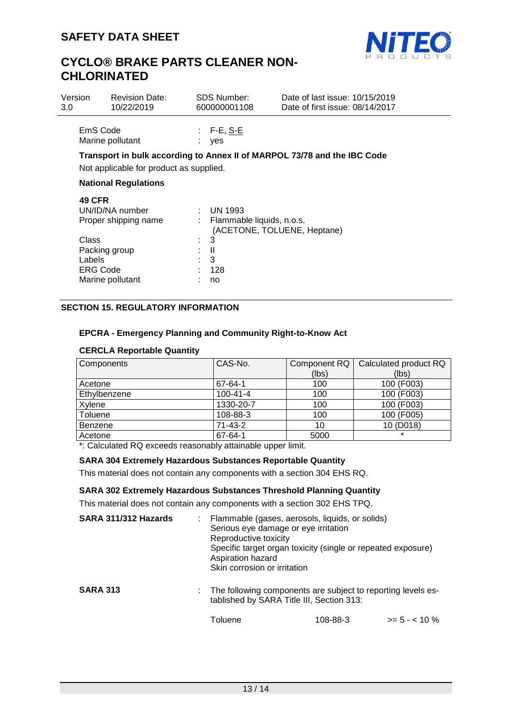

| Version<br>3.0 |                                              | <b>Revision Date:</b><br>10/22/2019     |  | <b>SDS Number:</b><br>600000001108                | Date of last issue: 10/15/2019<br>Date of first issue: 08/14/2017        |  |
|----------------|----------------------------------------------|-----------------------------------------|--|---------------------------------------------------|--------------------------------------------------------------------------|--|
|                | EmS Code                                     | Marine pollutant                        |  | F-E, <u>S-E</u><br>yes                            |                                                                          |  |
|                |                                              | Not applicable for product as supplied. |  |                                                   | Transport in bulk according to Annex II of MARPOL 73/78 and the IBC Code |  |
|                | <b>National Regulations</b>                  |                                         |  |                                                   |                                                                          |  |
|                | <b>49 CFR</b>                                | UN/ID/NA number<br>Proper shipping name |  | $\therefore$ UN 1993<br>Flammable liquids, n.o.s. | (ACETONE, TOLUENE, Heptane)                                              |  |
|                | Class<br>Packing group<br>Labels<br>ERG Code | Marine pollutant                        |  | 3<br>H<br>3<br>128<br>no                          |                                                                          |  |

# **SECTION 15. REGULATORY INFORMATION**

### **EPCRA - Emergency Planning and Community Right-to-Know Act**

## **CERCLA Reportable Quantity**

| Components   | CAS-No.        | Component RQ | Calculated product RQ |
|--------------|----------------|--------------|-----------------------|
|              |                | (lbs)        | (lbs)                 |
| Acetone      | 67-64-1        | 100          | 100 (F003)            |
| Ethylbenzene | $100 - 41 - 4$ | 100          | 100 (F003)            |
| Xylene       | 1330-20-7      | 100          | 100 (F003)            |
| Toluene      | 108-88-3       | 100          | 100 (F005)            |
| Benzene      | $71 - 43 - 2$  | 10           | 10 (D018)             |
| Acetone      | 67-64-1        | 5000         |                       |

\*: Calculated RQ exceeds reasonably attainable upper limit.

### **SARA 304 Extremely Hazardous Substances Reportable Quantity**

This material does not contain any components with a section 304 EHS RQ.

### **SARA 302 Extremely Hazardous Substances Threshold Planning Quantity**

This material does not contain any components with a section 302 EHS TPQ.

| SARA 311/312 Hazards | : Flammable (gases, aerosols, liquids, or solids)<br>Serious eye damage or eye irritation<br>Reproductive toxicity<br>Specific target organ toxicity (single or repeated exposure)<br>Aspiration hazard<br>Skin corrosion or irritation |          |                  |  |  |
|----------------------|-----------------------------------------------------------------------------------------------------------------------------------------------------------------------------------------------------------------------------------------|----------|------------------|--|--|
| <b>SARA 313</b>      | : The following components are subject to reporting levels es-<br>tablished by SARA Title III, Section 313:                                                                                                                             |          |                  |  |  |
|                      | Toluene                                                                                                                                                                                                                                 | 108-88-3 | $>= 5 - < 10 \%$ |  |  |